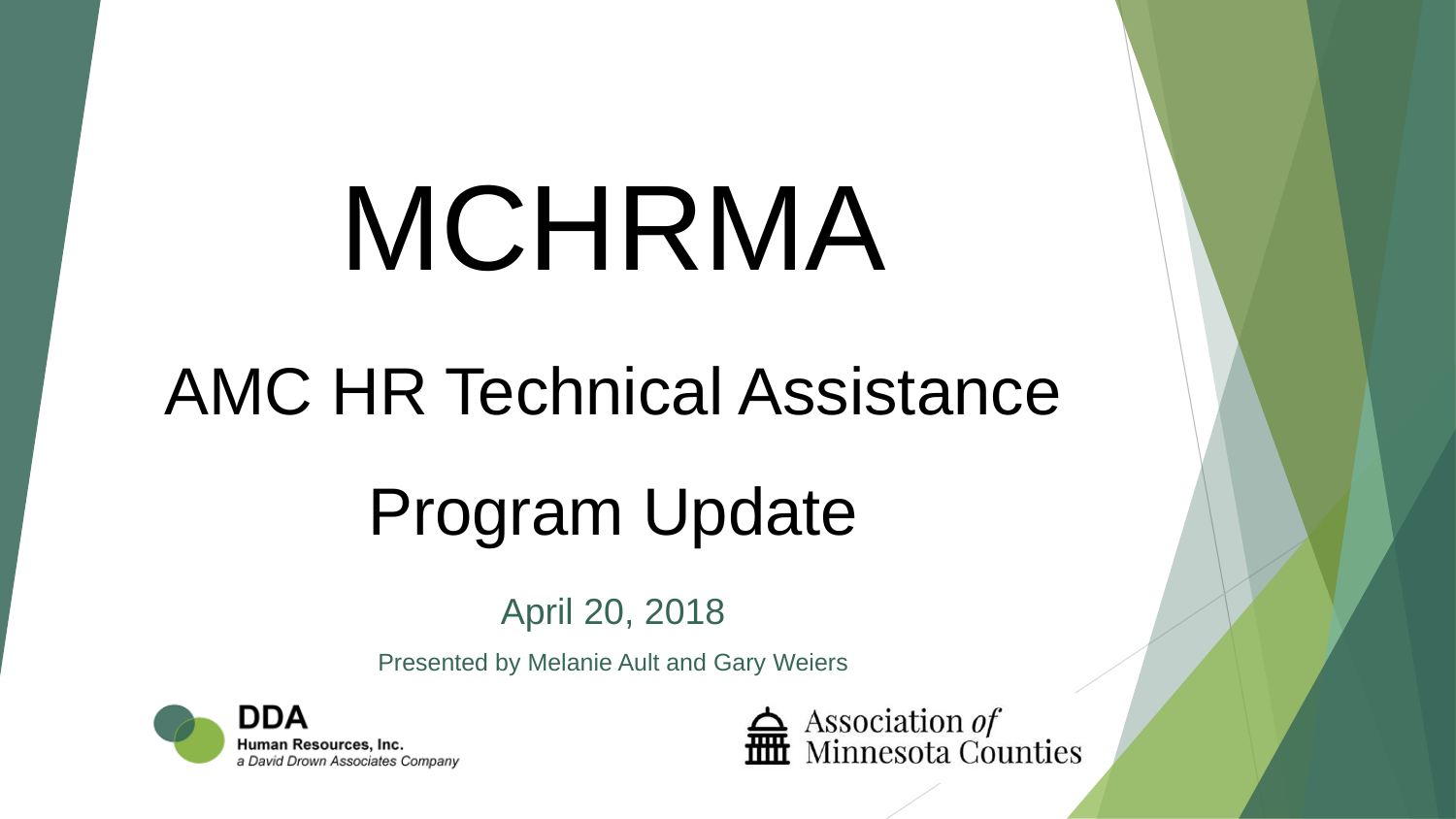# MCHRMA

## AMC HR Technical Assistance

# Program Update

### April 20, 2018

Presented by Melanie Ault and Gary Weiers



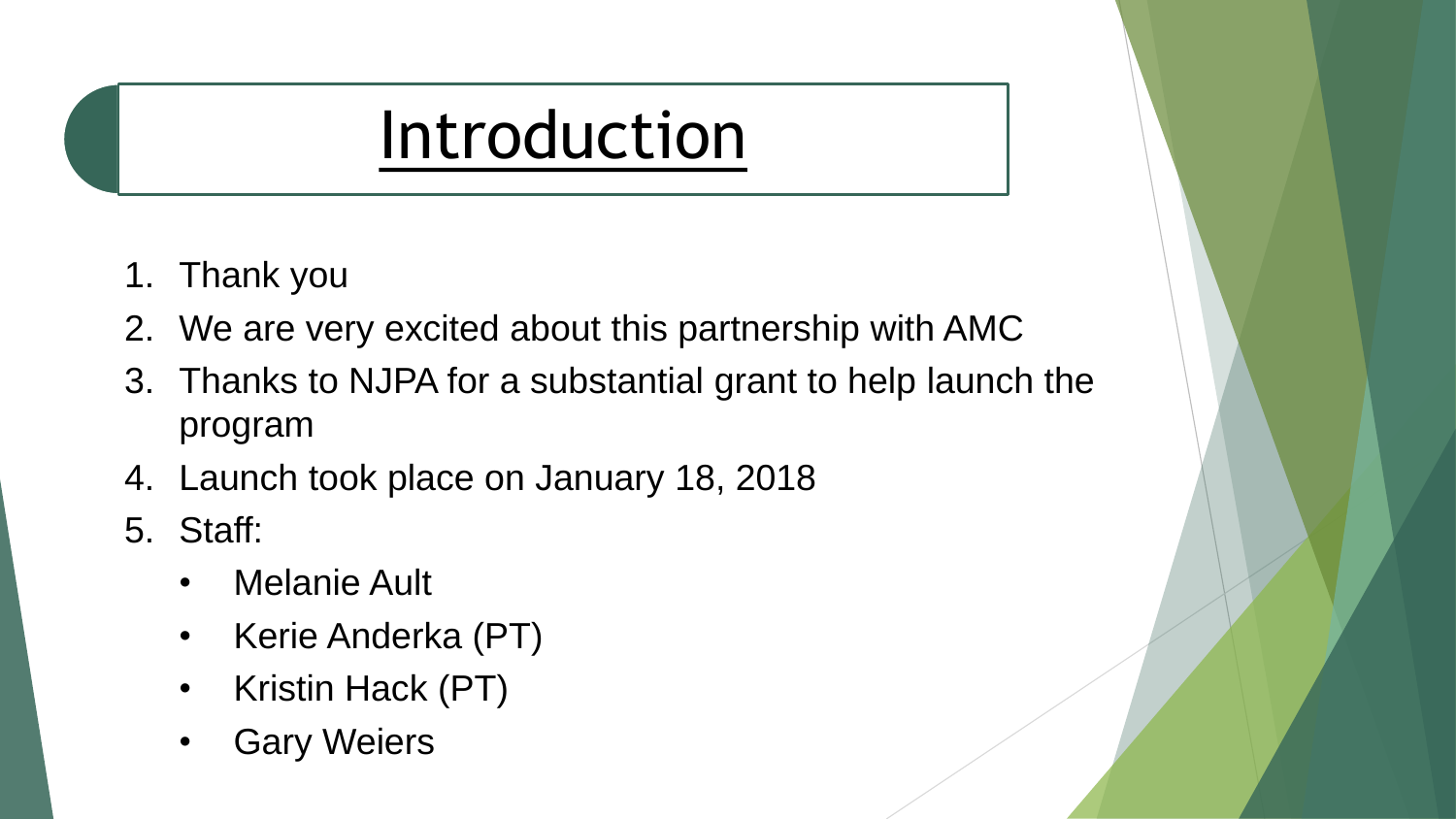## Introduction

- 1. Thank you
- 2. We are very excited about this partnership with AMC
- 3. Thanks to NJPA for a substantial grant to help launch the program
- 4. Launch took place on January 18, 2018
- 5. Staff:
	- Melanie Ault
	- Kerie Anderka (PT)
	- Kristin Hack (PT)
	- Gary Weiers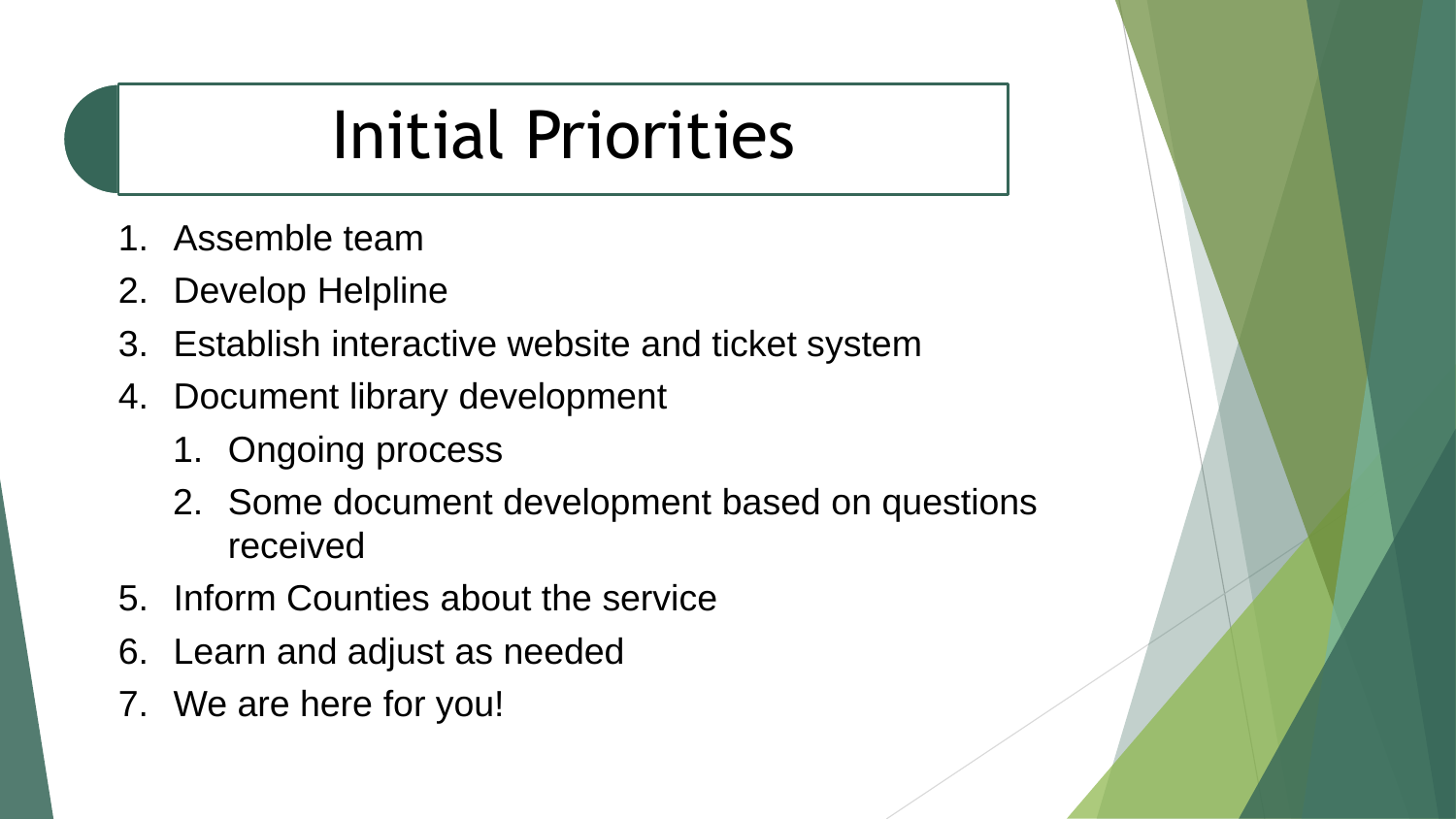# Initial Priorities

- 1. Assemble team
- 2. Develop Helpline
- 3. Establish interactive website and ticket system
- 4. Document library development
	- 1. Ongoing process
	- 2. Some document development based on questions received
- 5. Inform Counties about the service
- 6. Learn and adjust as needed
- 7. We are here for you!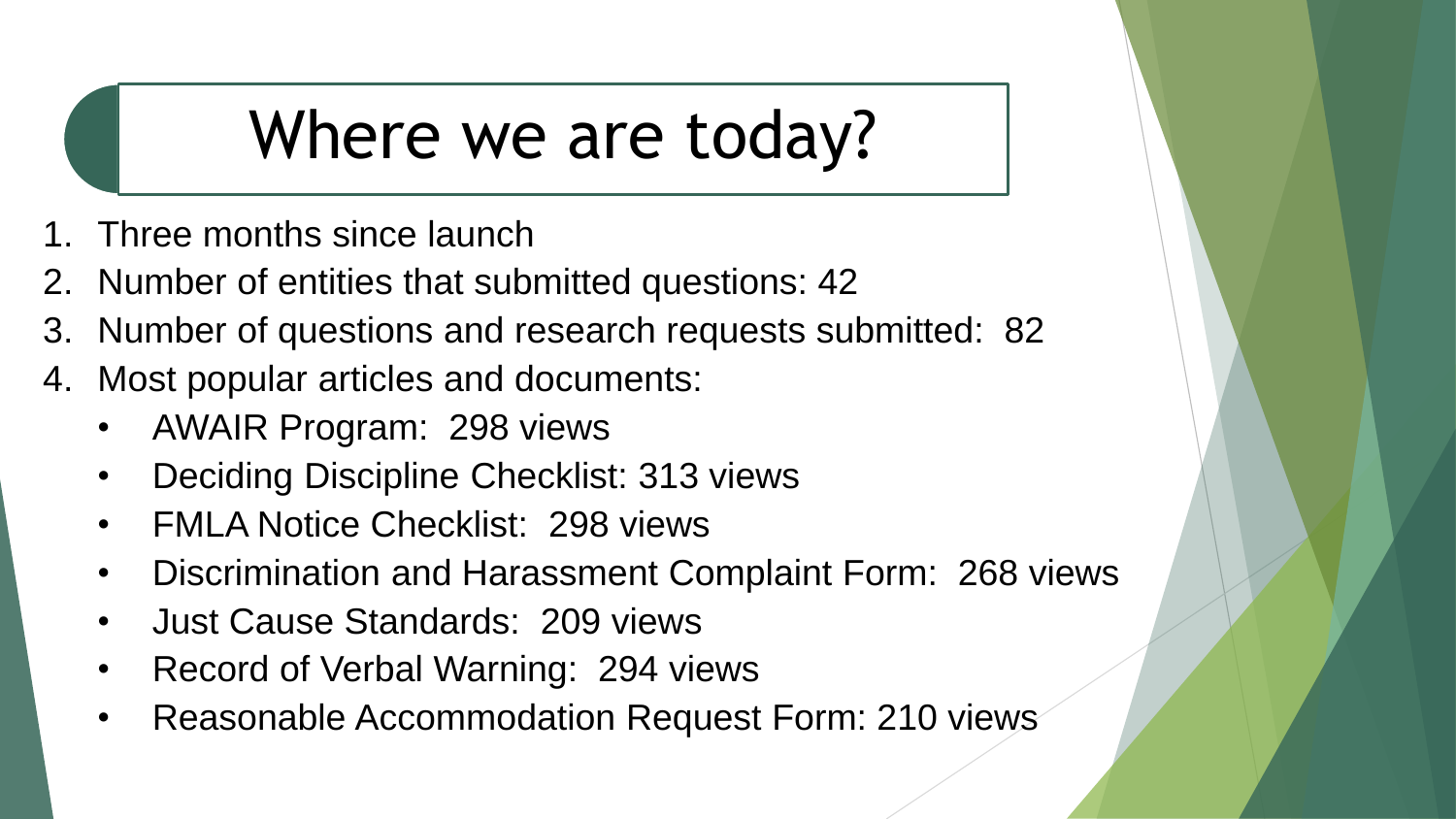## Where we are today?

- Three months since launch
- 2. Number of entities that submitted questions: 42
- 3. Number of questions and research requests submitted: 82
- 4. Most popular articles and documents:
	- AWAIR Program: 298 views
	- Deciding Discipline Checklist: 313 views
	- FMLA Notice Checklist: 298 views
	- Discrimination and Harassment Complaint Form: 268 views
	- Just Cause Standards: 209 views
	- Record of Verbal Warning: 294 views
	- Reasonable Accommodation Request Form: 210 views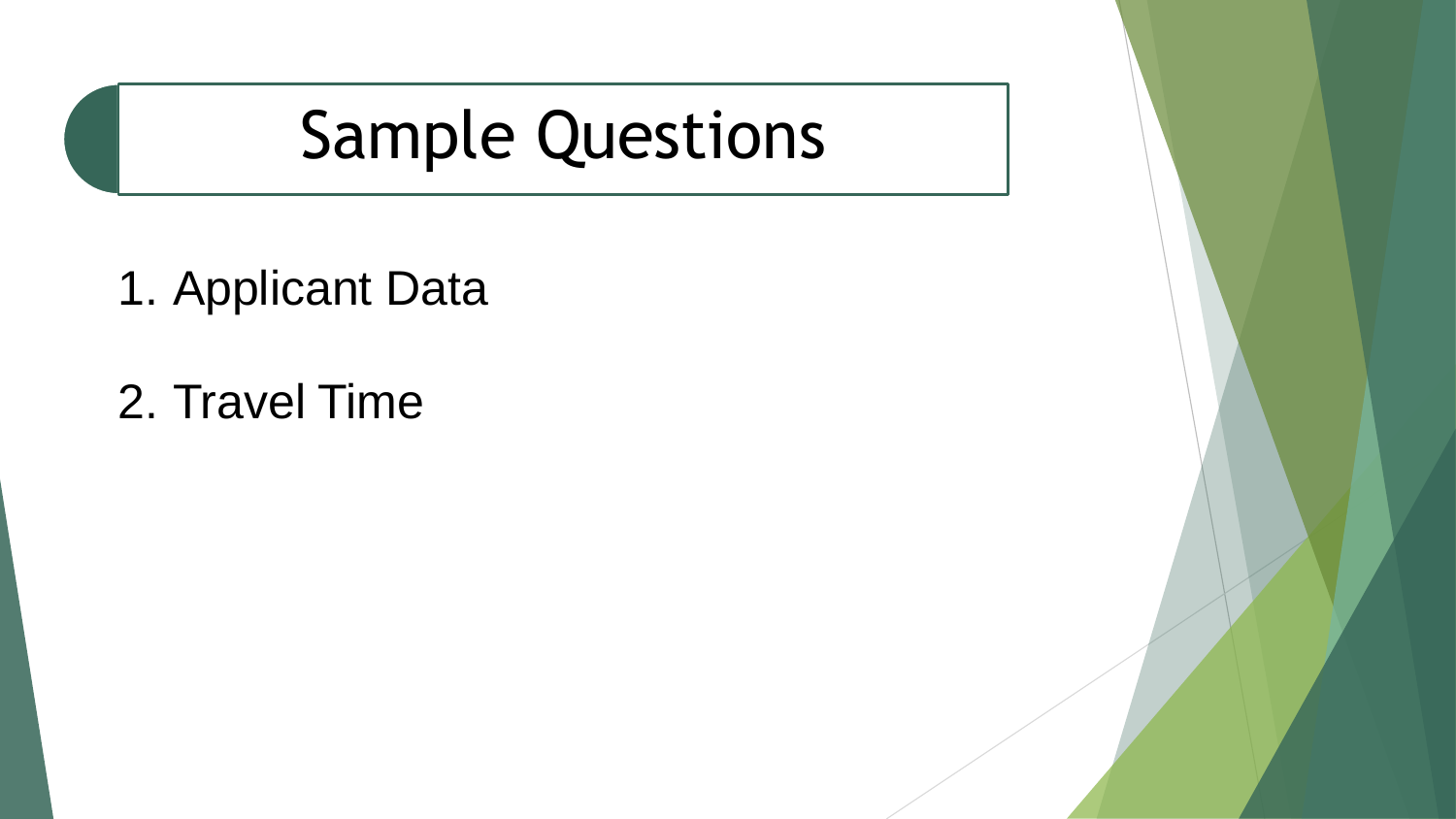## Sample Questions

1. Applicant Data

2. Travel Time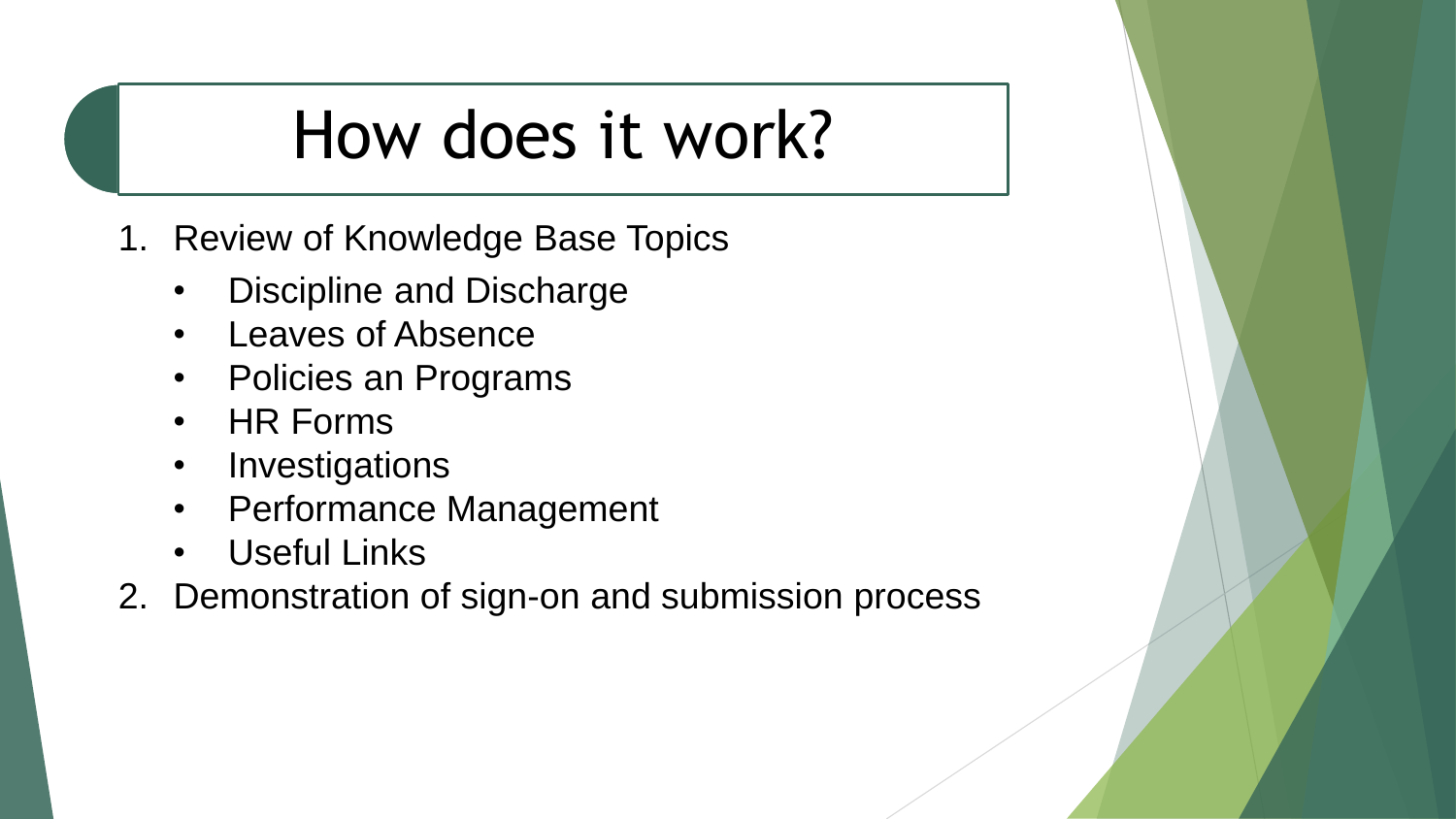## How does it work?

- 1. Review of Knowledge Base Topics
	- Discipline and Discharge
	- Leaves of Absence
	- Policies an Programs
	- HR Forms
	- Investigations
	- Performance Management
	- **Useful Links**
- 2. Demonstration of sign-on and submission process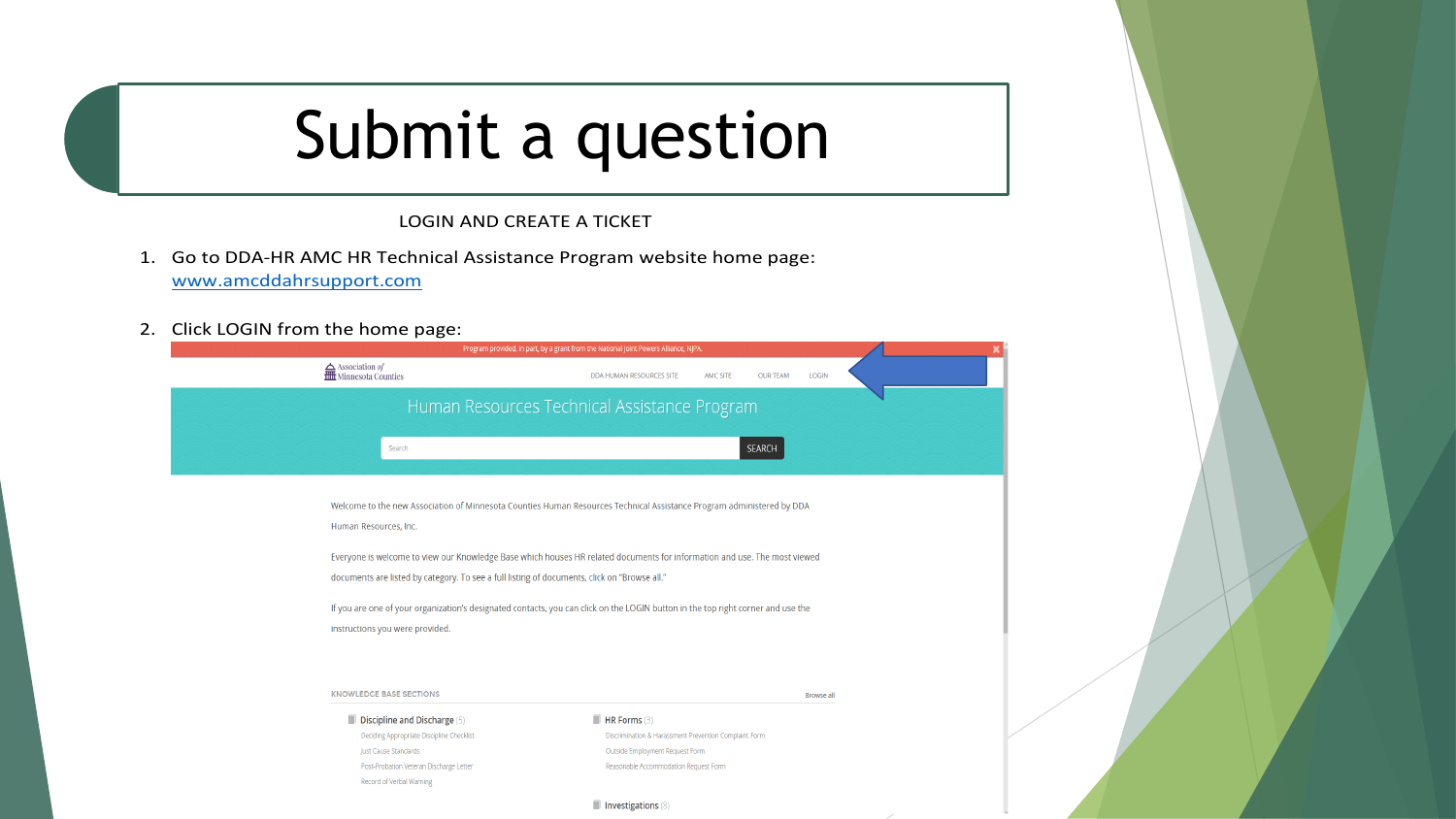### Submit a question

LOGIN AND CREATE A TICKET

- 1. Go to DDA-HR AMC HR Technical Assistance Program website home page: www.amcddahrsupport.com
- 2. Click LOGIN from the home page:

| Program provided, in part, by a grant from the National Joint Powers Alliance, NJPA.                                                                                                                                                                        |  |
|-------------------------------------------------------------------------------------------------------------------------------------------------------------------------------------------------------------------------------------------------------------|--|
| $\begin{tabular}{c} \quad \textbf{\textcolor{red}{\textbf{A}}}\text{Association of}\\ \quad \textbf{\textcolor{blue}{\overline{1111}}} \text{ Minnesota Counties} \end{tabular}$<br><b>LOGIN</b><br>DDA HUMAN RESOURCES SITE<br>AMC SITE<br><b>OUR TEAM</b> |  |
| Human Resources Technical Assistance Program                                                                                                                                                                                                                |  |
| <b>SEARCH</b><br>Search                                                                                                                                                                                                                                     |  |
|                                                                                                                                                                                                                                                             |  |
| Welcome to the new Association of Minnesota Counties Human Resources Technical Assistance Program administered by DDA<br>Human Resources, Inc.                                                                                                              |  |
| Everyone is welcome to view our Knowledge Base which houses HR related documents for information and use. The most viewed                                                                                                                                   |  |
| documents are listed by category. To see a full listing of documents, click on "Browse all."                                                                                                                                                                |  |
| If you are one of your organization's designated contacts, you can click on the LOGIN button in the top right corner and use the                                                                                                                            |  |
| instructions you were provided.                                                                                                                                                                                                                             |  |
|                                                                                                                                                                                                                                                             |  |
| <b>KNOWLEDGE BASE SECTIONS</b><br><b>Browse all</b>                                                                                                                                                                                                         |  |
| $\blacksquare$ HR Forms (3)<br>Discipline and Discharge (5)                                                                                                                                                                                                 |  |

Deciding Appropriate Discipline Checklist Just Cause Standards Post-Probation Veteran Discharge Letter Record of Verbal Warning

Discrimination & Harassment Prevention Complaint Form Outside Employment Request Form Reasonable Accommodation Request Form

#### Investigations (8)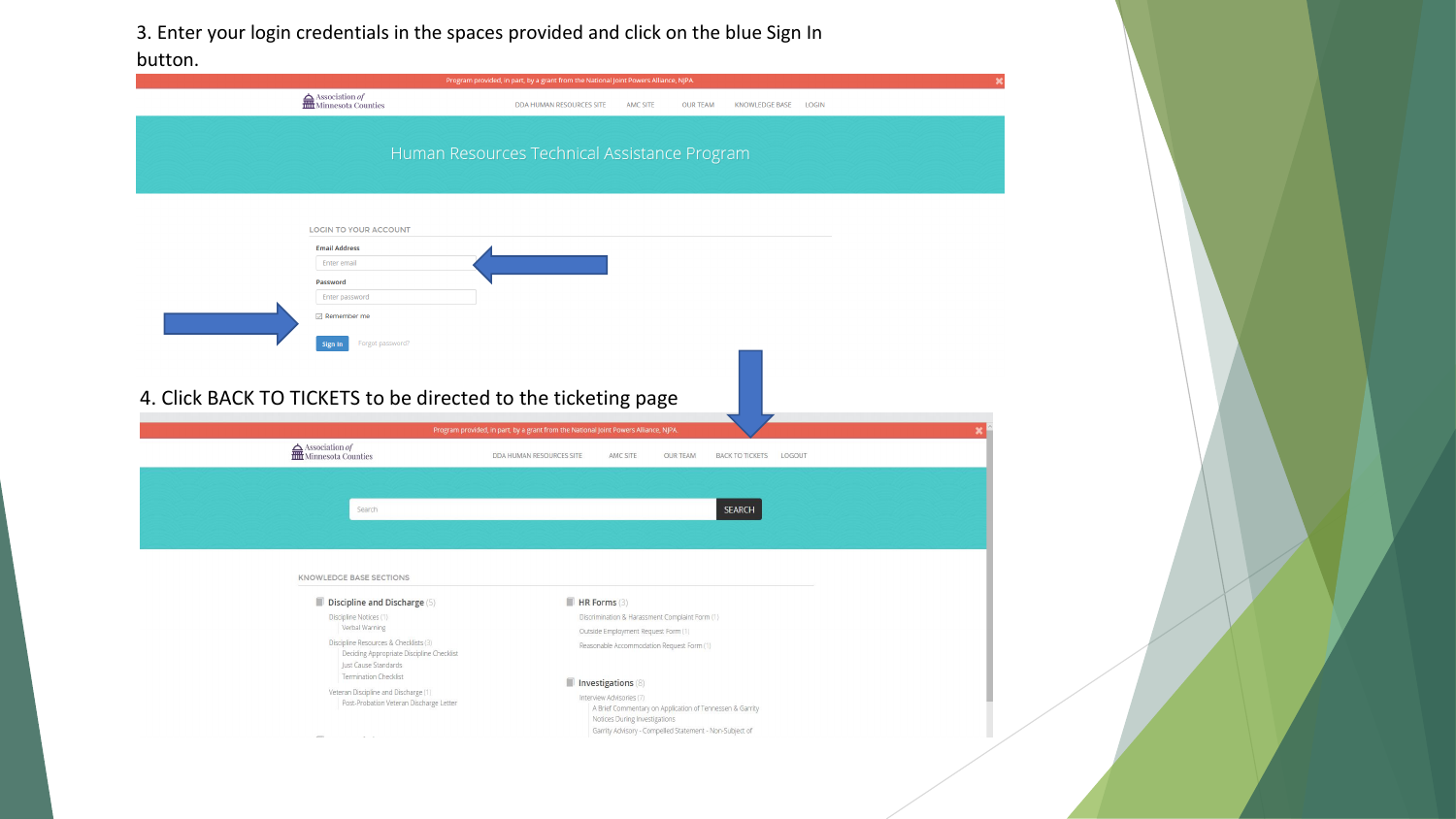3. Enter your login credentials in the spaces provided and click on the blue Sign In

| Program provided, in part, by a grant from the National Joint Powers Alliance, NJPA.                       |                                                                                                                                                                                  |                        |  |
|------------------------------------------------------------------------------------------------------------|----------------------------------------------------------------------------------------------------------------------------------------------------------------------------------|------------------------|--|
| $\fbox{ Association ofHint Minnesota Counties$                                                             | DDA HUMAN RESOURCES SITE<br>AMC SITE<br><b>OUR TEAM</b>                                                                                                                          | KNOWLEDGE BASE LOGIN   |  |
|                                                                                                            | Human Resources Technical Assistance Program                                                                                                                                     |                        |  |
| <b>LOGIN TO YOUR ACCOUNT</b>                                                                               |                                                                                                                                                                                  |                        |  |
| <b>Email Address</b>                                                                                       |                                                                                                                                                                                  |                        |  |
| Enter email                                                                                                |                                                                                                                                                                                  |                        |  |
| Password<br>Enter password                                                                                 |                                                                                                                                                                                  |                        |  |
| $\Box$ Remember me                                                                                         |                                                                                                                                                                                  |                        |  |
| Forgot password?<br>Sign In                                                                                |                                                                                                                                                                                  |                        |  |
| 4. Click BACK TO TICKETS to be directed to the ticketing page                                              |                                                                                                                                                                                  |                        |  |
| $\fbox{ Association ofMinnessto Counties$                                                                  | Program provided, in part, by a grant from the National Joint Powers Alliance, NJPA.<br>DDA HUMAN RESOURCES SITE<br>AMC SITE<br><b>OUR TEAM</b>                                  | BACK TO TICKETS LOGOUT |  |
|                                                                                                            |                                                                                                                                                                                  |                        |  |
| Search                                                                                                     |                                                                                                                                                                                  | <b>SEARCH</b>          |  |
|                                                                                                            |                                                                                                                                                                                  |                        |  |
| KNOWLEDGE BASE SECTIONS                                                                                    |                                                                                                                                                                                  |                        |  |
| Discipline and Discharge (5)                                                                               | $H$ R Forms (3)                                                                                                                                                                  |                        |  |
| Discipline Notices (1)<br>Verbal Warning                                                                   | Discrimination & Harassment Complaint Form (1)                                                                                                                                   |                        |  |
| Discipline Resources & Checklists (3)<br>Deciding Appropriate Discipline Checklist<br>Just Cause Standards | Outside Employment Request Form (1)<br>Reasonable Accommodation Request Form (1)                                                                                                 |                        |  |
| <b>Termination Checklist</b>                                                                               | Investigations (8)                                                                                                                                                               |                        |  |
| Veteran Discipline and Discharge (1)<br>Post-Probation Veteran Discharge Letter                            | Interview Advisories (7)<br>A Brief Commentary on Application of Tennessen & Garrity<br>Notices During Investigations<br>Garrity Advisory - Compelled Statement - Non-Subject of |                        |  |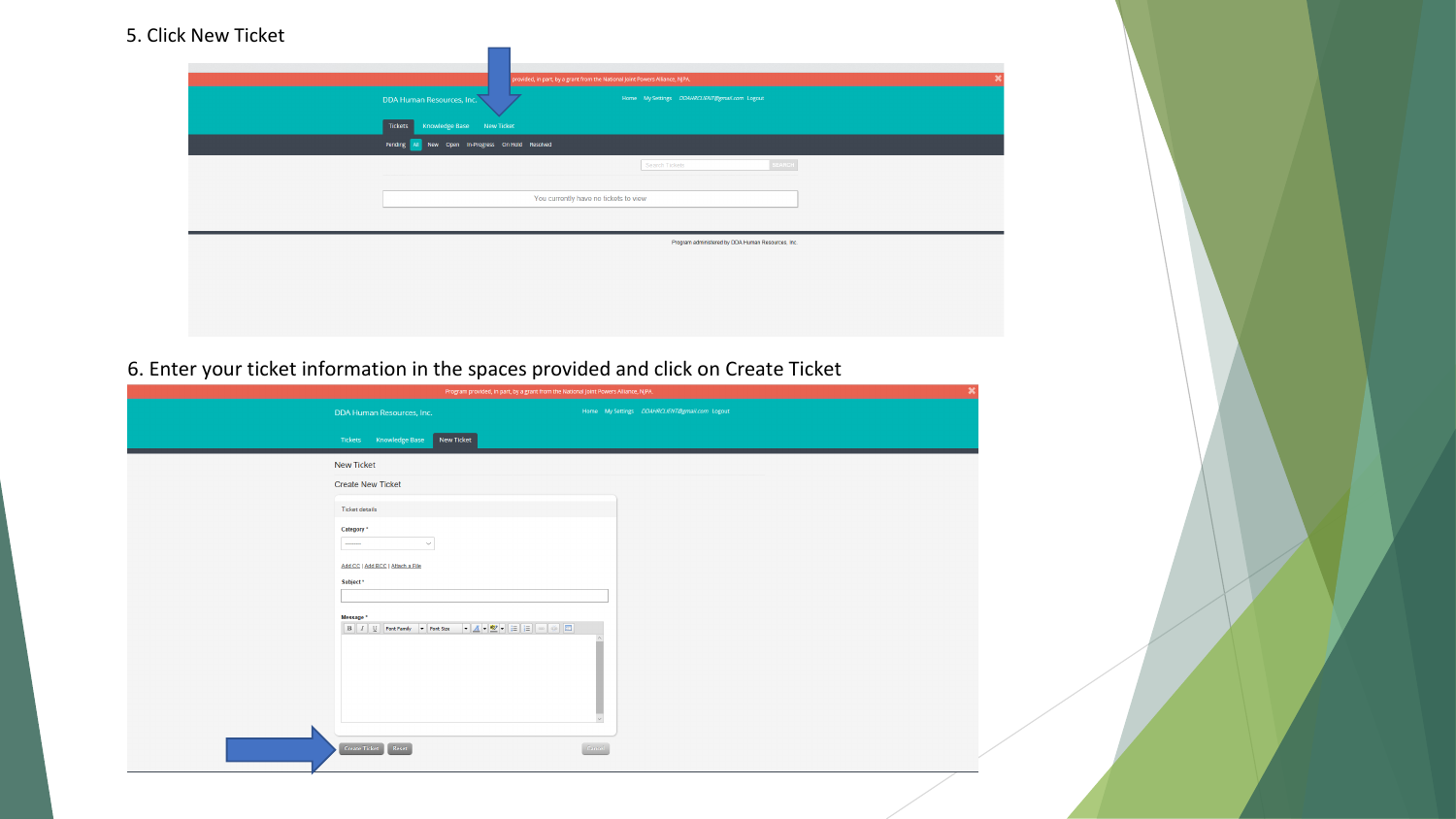### 5. Click New Ticket

| DDA Human Resources, Inc.                                                                              | provided, in part, by a grant from the National Joint Powers Alliance, NJPA. | Home My Settings DDAHRCLIENT@gmail.com Logout     |  |
|--------------------------------------------------------------------------------------------------------|------------------------------------------------------------------------------|---------------------------------------------------|--|
| Knowledge Base<br>New Ticket<br><b>Tickets</b><br>New Open In-Progress On Hold Resolved<br>Pending All |                                                                              |                                                   |  |
|                                                                                                        |                                                                              | SEARCH<br>Search Tickets                          |  |
|                                                                                                        | You currently have no tickets to view                                        |                                                   |  |
|                                                                                                        |                                                                              | Program administered by DDA Human Resources, Inc. |  |
|                                                                                                        |                                                                              |                                                   |  |
|                                                                                                        |                                                                              |                                                   |  |

6. Enter your ticket information in the spaces provided and click on Create Ticket

| Program provided, in part, by a grant from the National Joint Powers Alliance, NJPA.                                                                                                                                                                                                                                                                           |                                               |  |
|----------------------------------------------------------------------------------------------------------------------------------------------------------------------------------------------------------------------------------------------------------------------------------------------------------------------------------------------------------------|-----------------------------------------------|--|
| DDA Human Resources, Inc.                                                                                                                                                                                                                                                                                                                                      | Home My Settings DDAHRCLIENT@gmail.com Logout |  |
| Tickets Knowledge Base<br>New Ticket                                                                                                                                                                                                                                                                                                                           |                                               |  |
| <b>New Ticket</b>                                                                                                                                                                                                                                                                                                                                              |                                               |  |
| <b>Create New Ticket</b>                                                                                                                                                                                                                                                                                                                                       |                                               |  |
| <b>Ticket details</b>                                                                                                                                                                                                                                                                                                                                          |                                               |  |
| Category *<br>$\cdots$<br>$\checkmark$                                                                                                                                                                                                                                                                                                                         |                                               |  |
| Add CC   Add BCC   Attach a File<br>Subject *                                                                                                                                                                                                                                                                                                                  |                                               |  |
|                                                                                                                                                                                                                                                                                                                                                                |                                               |  |
| Message *<br>$\boxed{\mathbf{B} \left[\begin{array}{c c}I & \mathbf{U}\end{array}\right]\left[\begin{array}{c c c} \mathsf{Font\,Family} & \mathbf{v}\end{array}\right]\mathsf{Font\,Size} & \mathbf{v}\mathbf{A} \mathbf{v}\mathbf{B} \mathbf{v}\mathbf{v}\mathbf{G}\mathbf{E}\right]\left[\mathbf{H}\right]\left[\mathbf{H}\right]\left[\mathbf{H}\right]}}$ |                                               |  |
| Create Ticket   Reset                                                                                                                                                                                                                                                                                                                                          | Cancel                                        |  |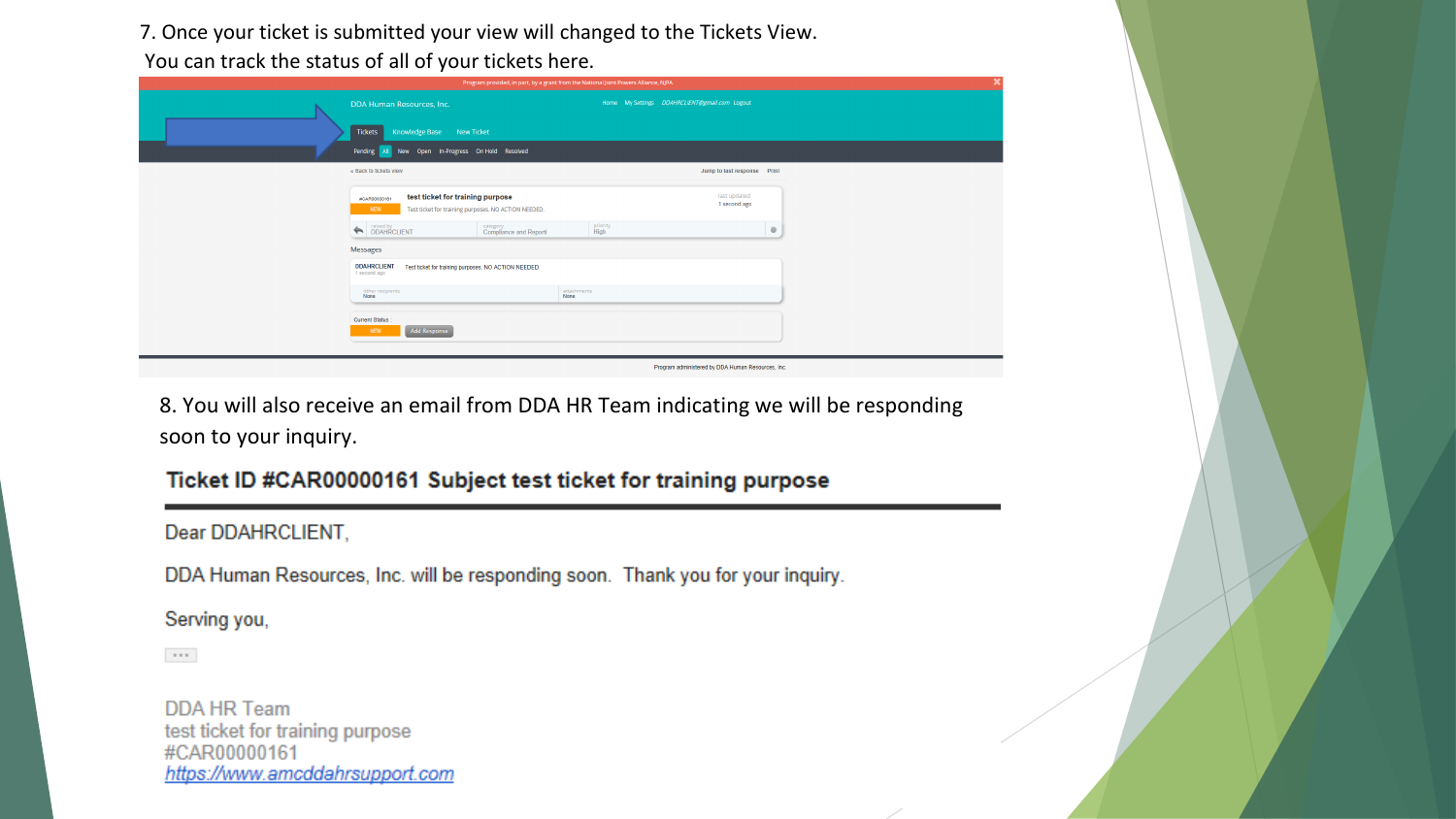7. Once your ticket is submitted your view will changed to the Tickets View.

You can track the status of all of your tickets here.

|                                                                                                                 | Program provided, in part, by a grant from the National Joint Powers Alliance, NJPA. |         |
|-----------------------------------------------------------------------------------------------------------------|--------------------------------------------------------------------------------------|---------|
| DDA Human Resources, Inc.                                                                                       | Home My Settings DDAHRCLIENT@gmail.com Logout                                        |         |
| <b>Tickets</b><br>Knowledge Base<br>New Ticket                                                                  |                                                                                      |         |
| New Open In-Progress On Hold Resolved<br>Pending All                                                            |                                                                                      |         |
| « Back to tickets view                                                                                          | Jump to last response Print                                                          |         |
| test ticket for training purpose<br>#CAR00000161<br>NEW<br>Test ticket for training purposes. NO ACTION NEEDED. | last updated<br>1 second ago                                                         |         |
| DDAHRCLIENT<br>category<br>Compliance and Reporti                                                               | priority<br>High                                                                     | $\circ$ |
| Messages                                                                                                        |                                                                                      |         |
| <b>DDAHRCLIENT</b><br>Test ticket for training purposes. NO ACTION NEEDED.<br>1 second ago                      |                                                                                      |         |
| other recipients<br>None                                                                                        | attachments<br>None                                                                  |         |
| Current Status:<br><b>Add Response</b><br><b>NEW</b>                                                            |                                                                                      |         |
|                                                                                                                 | Program administered by DDA Human Resources, Inc.                                    |         |

8. You will also receive an email from DDA HR Team indicating we will be responding soon to your inquiry.

### Ticket ID #CAR00000161 Subject test ticket for training purpose

### Dear DDAHRCLIENT,

DDA Human Resources, Inc. will be responding soon. Thank you for your inquiry.

### Serving you,

 $\sim$  0.0  $^\circ$ 

**DDA HR Team** test ticket for training purpose #CAR00000161 https://www.amcddahrsupport.com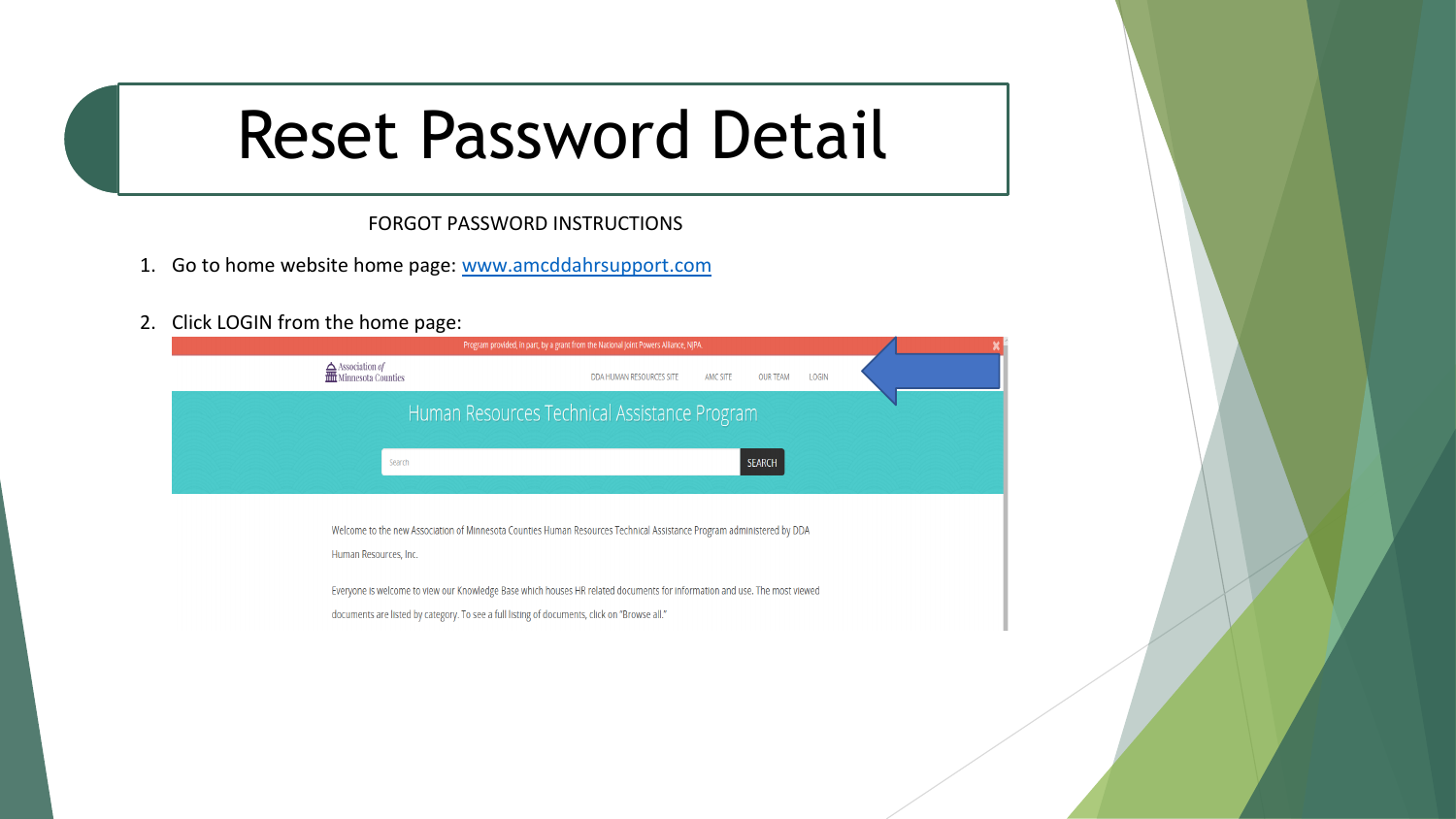### Reset Password Detail

FORGOT PASSWORD INSTRUCTIONS

- 1. Go to home website home page: www.amcddahrsupport.com
- 2. Click LOGIN from the home page:

|                                                                                                     | Program provided, in part, by a grant from the National Joint Powers Alliance, NJPA.                                      |
|-----------------------------------------------------------------------------------------------------|---------------------------------------------------------------------------------------------------------------------------|
| $\frac{\Delta}{\text{min}}$ Association <i>of</i><br>$\frac{\Delta}{\text{min}}$ Minnesota Counties | DDA HUMAN RESOURCES SITE<br><b>OUR TEAM</b><br>LOGIN<br>AMC SITE                                                          |
|                                                                                                     | Human Resources Technical Assistance Program                                                                              |
| Search                                                                                              | <b>SEARCH</b>                                                                                                             |
|                                                                                                     |                                                                                                                           |
| Human Resources, Inc.                                                                               | Welcome to the new Association of Minnesota Counties Human Resources Technical Assistance Program administered by DDA     |
|                                                                                                     | Everyone is welcome to view our Knowledge Base which houses HR related documents for information and use. The most viewed |
|                                                                                                     | documents are listed by category. To see a full listing of documents, click on "Browse all."                              |
|                                                                                                     |                                                                                                                           |
|                                                                                                     |                                                                                                                           |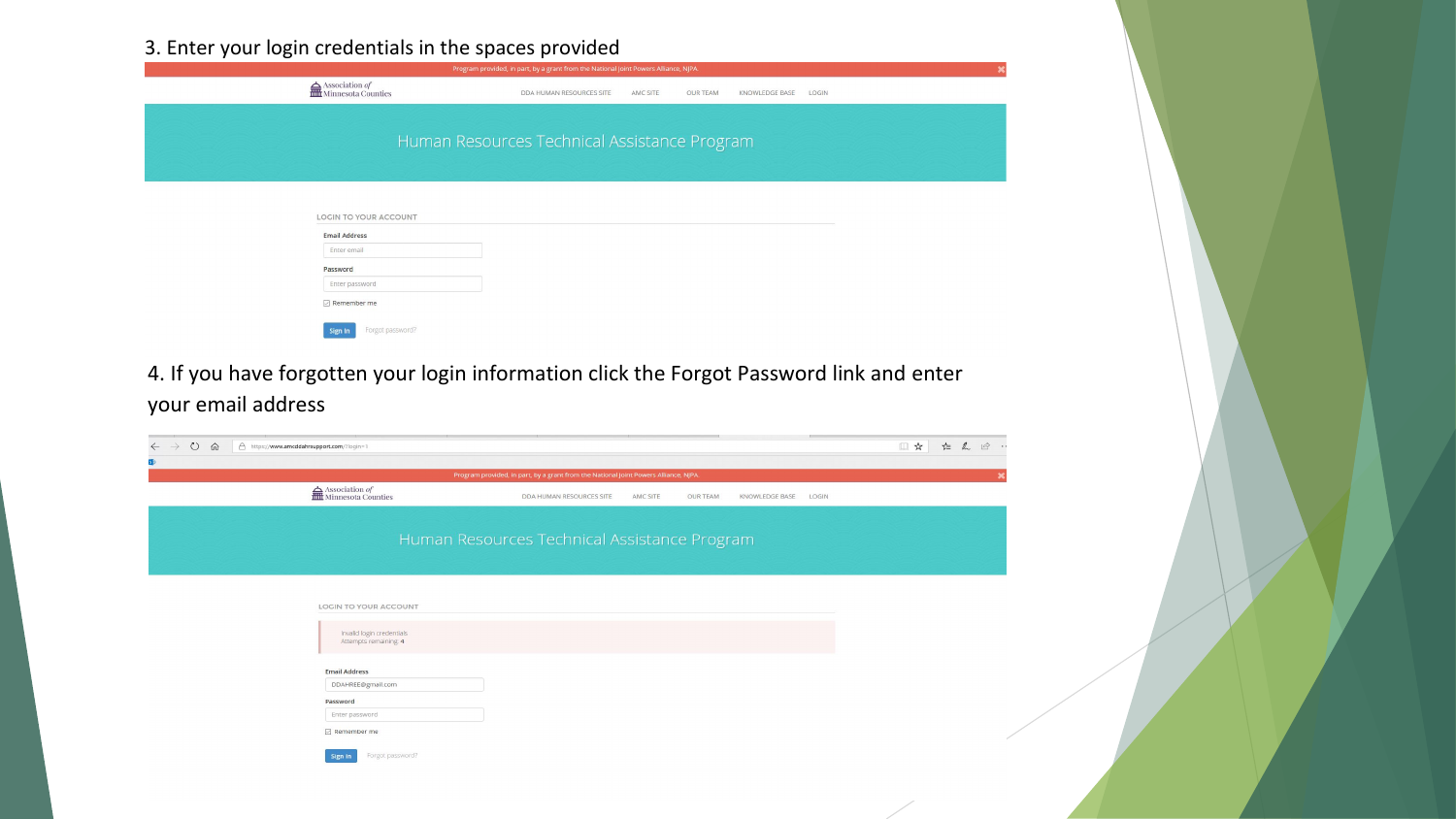3. Enter your login credentials in the spaces provided

| $\begin{tabular}{c} \quad \textbf{\textcolor{red}{\textbf{A}}}\text{Association of}\\ \quad \textbf{\textcolor{blue}{\overline{1111}}}\text{ Minnesota Counties} \end{tabular}$<br>DDA HUMAN RESOURCES SITE AMC SITE<br><b>OUR TEAM</b><br>KNOWLEDGE BASE LOGIN<br>Human Resources Technical Assistance Program<br><b>LOGIN TO YOUR ACCOUNT</b> |            |
|-------------------------------------------------------------------------------------------------------------------------------------------------------------------------------------------------------------------------------------------------------------------------------------------------------------------------------------------------|------------|
|                                                                                                                                                                                                                                                                                                                                                 |            |
|                                                                                                                                                                                                                                                                                                                                                 |            |
|                                                                                                                                                                                                                                                                                                                                                 |            |
| <b>Email Address</b>                                                                                                                                                                                                                                                                                                                            |            |
| Enter email                                                                                                                                                                                                                                                                                                                                     |            |
| Password<br>Enter password                                                                                                                                                                                                                                                                                                                      |            |
| $\boxed{\smile}$ Remember me                                                                                                                                                                                                                                                                                                                    |            |
| Forgot password?<br>Sign In                                                                                                                                                                                                                                                                                                                     |            |
| 4. If you have forgotten your login information click the Forgot Password link and enter<br>your email address                                                                                                                                                                                                                                  | □☆ ☆ ん ② … |
| △ https://www.amcddahrsupport.com/?login=1<br>Program provided, in part, by a grant from the National Joint Powers Alliance, NJPA.                                                                                                                                                                                                              |            |
| $\begin{tabular}{c} \quad \textbf{\textcolor{red}{\textbf{A}}}\text{Association of}\\ \quad \textbf{\textcolor{blue}{\overline{m}}}\text{ Minnesota Counties} \end{tabular}$<br>DDA HUMAN RESOURCES SITE AMC SITE<br><b>OUR TEAM</b><br>KNOWLEDGE BASE LOGIN                                                                                    |            |
| Human Resources Technical Assistance Program                                                                                                                                                                                                                                                                                                    |            |
| LOCIN TO YOUR ACCOUNT                                                                                                                                                                                                                                                                                                                           |            |
| Invalid login credentials<br>Attempts remaining: 4                                                                                                                                                                                                                                                                                              |            |
| <b>Email Address</b>                                                                                                                                                                                                                                                                                                                            |            |
| DDAHREE@gmail.com<br>Password<br>Enter password                                                                                                                                                                                                                                                                                                 |            |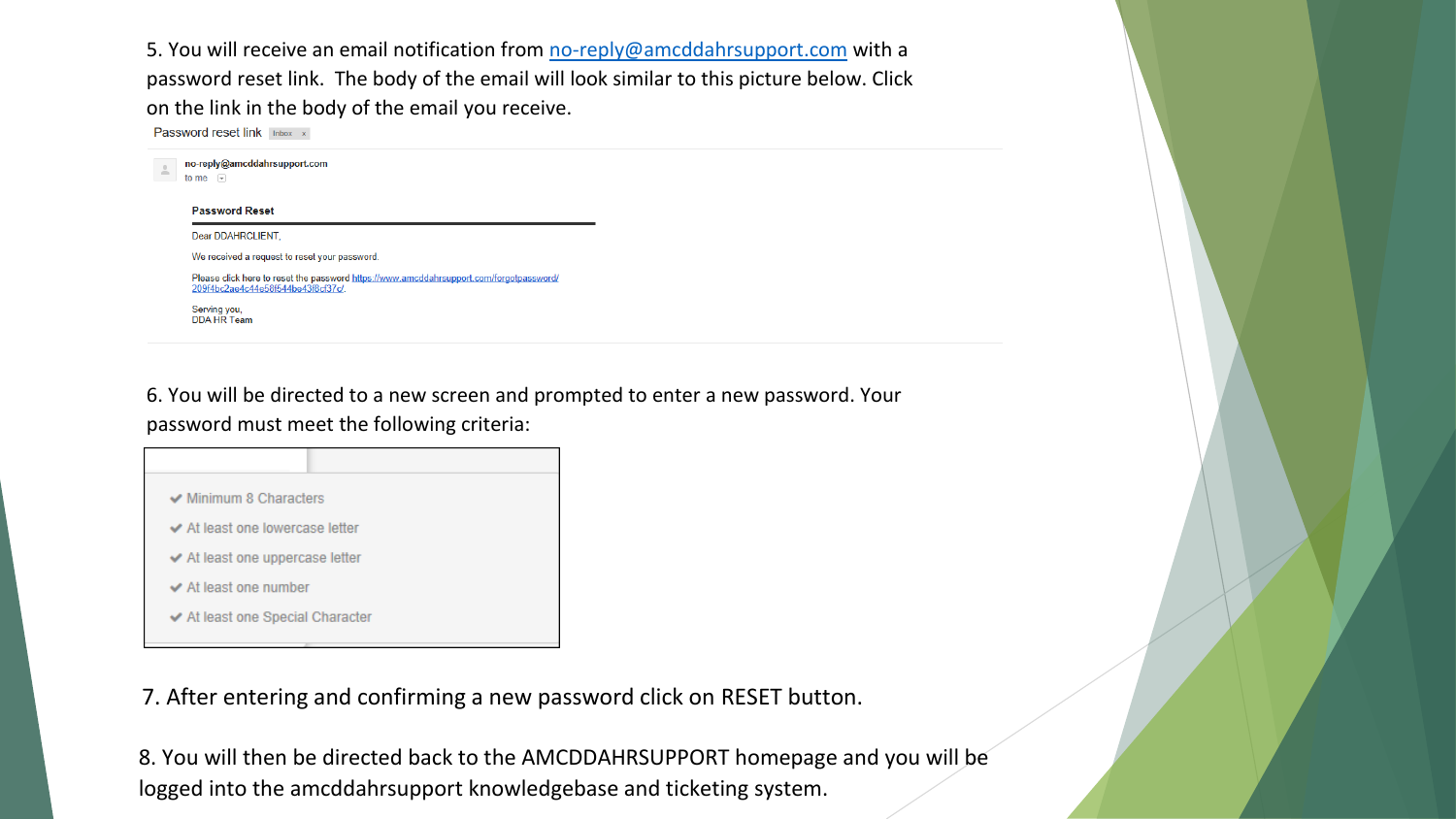5. You will receive an email notification from no-reply@amcddahrsupport.com with a password reset link. The body of the email will look similar to this picture below. Click on the link in the body of the email you receive.

Password reset link Inbox x

| Dear DDAHRCLIENT.                                                                                                                                                              | <b>Password Reset</b>              |  |
|--------------------------------------------------------------------------------------------------------------------------------------------------------------------------------|------------------------------------|--|
| We received a request to reset your password.<br>Please click here to reset the password https://www.amcddahrsupport.com/forgotpassword/<br>209f4bc2ae4c44e58f544be43f8cf37c/. |                                    |  |
|                                                                                                                                                                                |                                    |  |
|                                                                                                                                                                                |                                    |  |
|                                                                                                                                                                                | Serving you,<br><b>DDA HR Team</b> |  |

6. You will be directed to a new screen and prompted to enter a new password. Your password must meet the following criteria:



7. After entering and confirming a new password click on RESET button.

8. You will then be directed back to the AMCDDAHRSUPPORT homepage and you will be logged into the amcddahrsupport knowledgebase and ticketing system.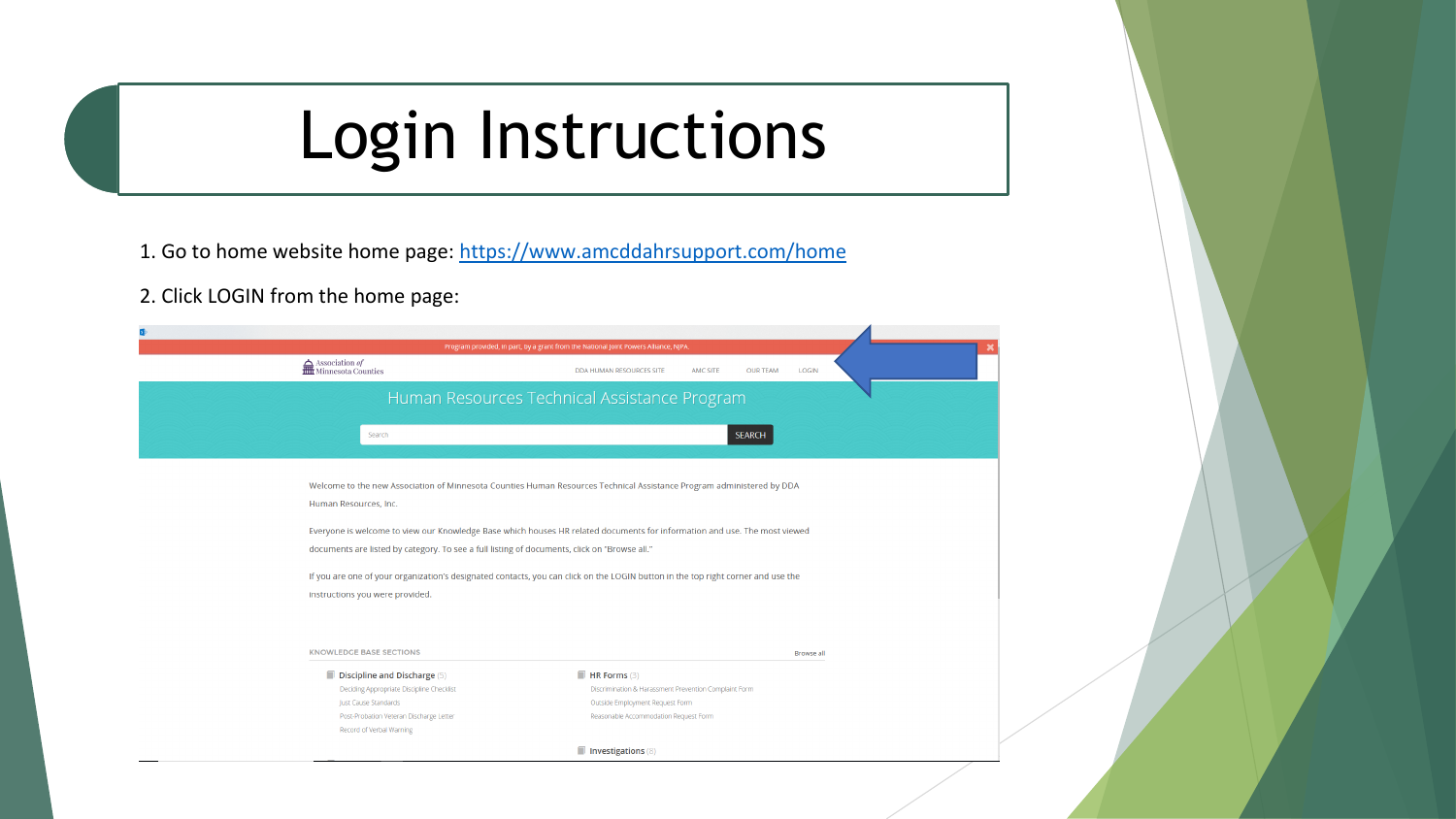# Login Instructions

- 1. Go to home website home page: https://www.amcddahrsupport.com/home
- 2. Click LOGIN from the home page:

|                                                                                              | Program provided, in part, by a grant from the National Joint Powers Alliance, NJPA.                                             |
|----------------------------------------------------------------------------------------------|----------------------------------------------------------------------------------------------------------------------------------|
| $\sum_{n=1}^{\infty}$ Association <i>of</i>                                                  | DDA HUMAN RESOURCES SITE<br><b>AMC SITE</b><br><b>OUR TEAM</b><br><b>LOGIN</b>                                                   |
|                                                                                              | Human Resources Technical Assistance Program                                                                                     |
| Search                                                                                       | <b>SEARCH</b>                                                                                                                    |
|                                                                                              | Welcome to the new Association of Minnesota Counties Human Resources Technical Assistance Program administered by DDA            |
| Human Resources, Inc.                                                                        |                                                                                                                                  |
|                                                                                              |                                                                                                                                  |
|                                                                                              | Everyone is welcome to view our Knowledge Base which houses HR related documents for information and use. The most viewed        |
| documents are listed by category. To see a full listing of documents, click on "Browse all." |                                                                                                                                  |
|                                                                                              | If you are one of your organization's designated contacts, you can click on the LOGIN button in the top right corner and use the |
| instructions you were provided.                                                              |                                                                                                                                  |
|                                                                                              |                                                                                                                                  |
|                                                                                              |                                                                                                                                  |
| <b>KNOWLEDGE BASE SECTIONS</b>                                                               | <b>Browse all</b>                                                                                                                |
| $\blacksquare$ Discipline and Discharge (5)                                                  | $\blacksquare$ HR Forms (3)                                                                                                      |
| Deciding Appropriate Discipline Checklist                                                    | Discrimination & Harassment Prevention Complaint Form                                                                            |
| lust Cause Standards                                                                         | Outside Employment Request Form                                                                                                  |
| Post-Probation Veteran Discharge Letter                                                      | Reasonable Accommodation Request Form                                                                                            |
| Record of Verbal Warning                                                                     |                                                                                                                                  |
|                                                                                              | Investigations (8)                                                                                                               |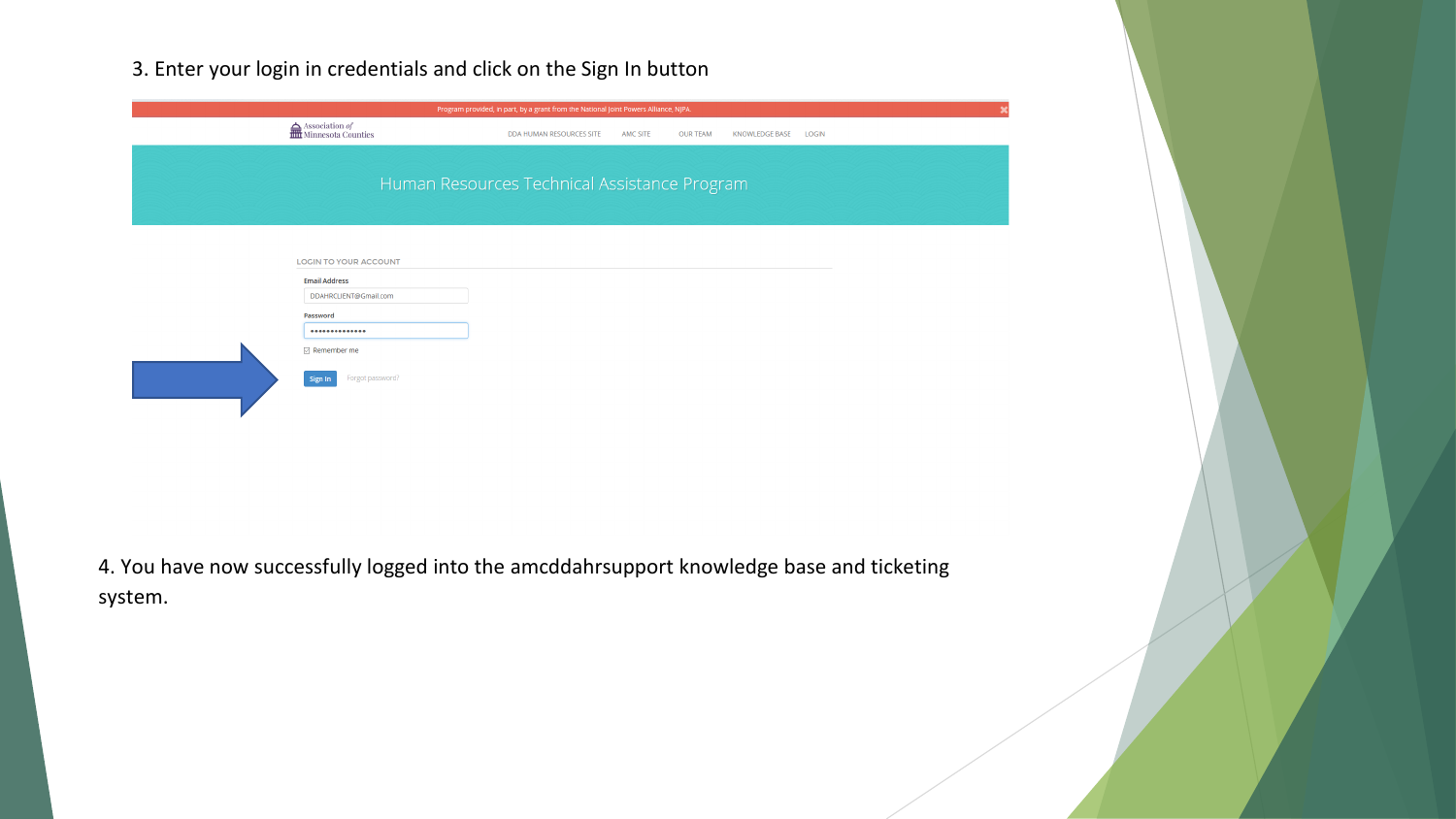### 3. Enter your login in credentials and click on the Sign In button

|                                                | Program provided, in part, by a grant from the National Joint Powers Alliance, NJPA. |          |                 |                       |              |
|------------------------------------------------|--------------------------------------------------------------------------------------|----------|-----------------|-----------------------|--------------|
| $\fbox{ Association ofHint Minnesota Counties$ | DDA HUMAN RESOURCES SITE                                                             | AMC SITE | <b>OUR TEAM</b> | <b>KNOWLEDGE BASE</b> | <b>LOGIN</b> |
|                                                |                                                                                      |          |                 |                       |              |
|                                                | Human Resources Technical Assistance Program                                         |          |                 |                       |              |
|                                                |                                                                                      |          |                 |                       |              |
|                                                |                                                                                      |          |                 |                       |              |
|                                                |                                                                                      |          |                 |                       |              |
| <b>LOGIN TO YOUR ACCOUNT</b>                   |                                                                                      |          |                 |                       |              |
| <b>Email Address</b>                           |                                                                                      |          |                 |                       |              |
| DDAHRCLIENT@Gmail.com                          |                                                                                      |          |                 |                       |              |
| Password                                       |                                                                                      |          |                 |                       |              |
|                                                |                                                                                      |          |                 |                       |              |
| $\triangleright$ Remember me                   |                                                                                      |          |                 |                       |              |
| Forgot password?<br>Sign In                    |                                                                                      |          |                 |                       |              |
|                                                |                                                                                      |          |                 |                       |              |
|                                                |                                                                                      |          |                 |                       |              |
|                                                |                                                                                      |          |                 |                       |              |
|                                                |                                                                                      |          |                 |                       |              |
|                                                |                                                                                      |          |                 |                       |              |
|                                                |                                                                                      |          |                 |                       |              |

 $\mathbf{x}$ 

4. You have now successfully logged into the amcddahrsupport knowledge base and ticketing system.